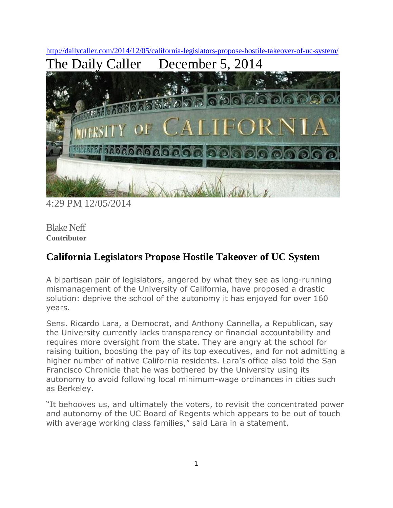<http://dailycaller.com/2014/12/05/california-legislators-propose-hostile-takeover-of-uc-system/> The Daily Caller December 5, 2014



4:29 PM 12/05/2014

Blake Neff **Contributor**

## **California Legislators Propose Hostile Takeover of UC System**

A bipartisan pair of legislators, angered by what they see as long-running mismanagement of the University of California, have proposed a drastic solution: deprive the school of the autonomy it has enjoyed for over 160 years.

Sens. Ricardo Lara, a Democrat, and Anthony Cannella, a Republican, say the University currently lacks transparency or financial accountability and requires more oversight from the state. They are angry at the school for raising tuition, boosting the pay of its top executives, and for not admitting a higher number of native California residents. Lara's office also told the San Francisco Chronicle that he was bothered by the University using its autonomy to avoid following local minimum-wage ordinances in cities such as Berkeley.

"It behooves us, and ultimately the voters, to revisit the concentrated power and autonomy of the UC Board of Regents which appears to be out of touch with average working class families," said Lara in a statement.